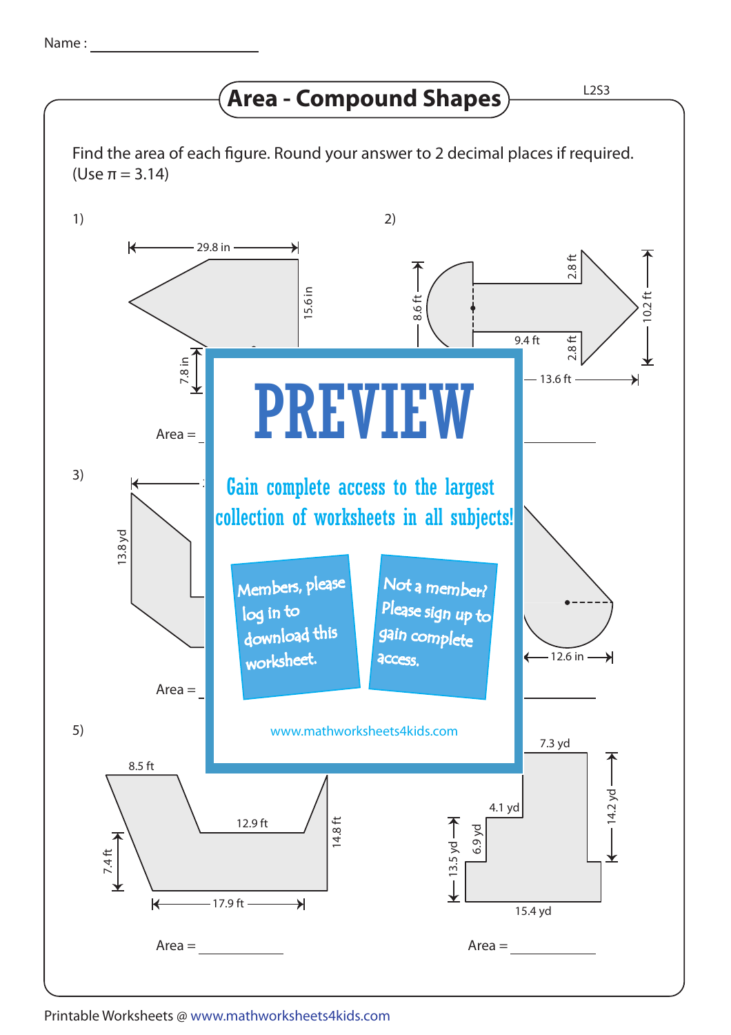## **Area - Compound Shapes**  $\overline{\phantom{a}}$  L2S3

Find the area of each figure. Round your answer to 2 decimal places if required. (Use π = 3.14)



Printable Worksheets @ www.mathworksheets4kids.com